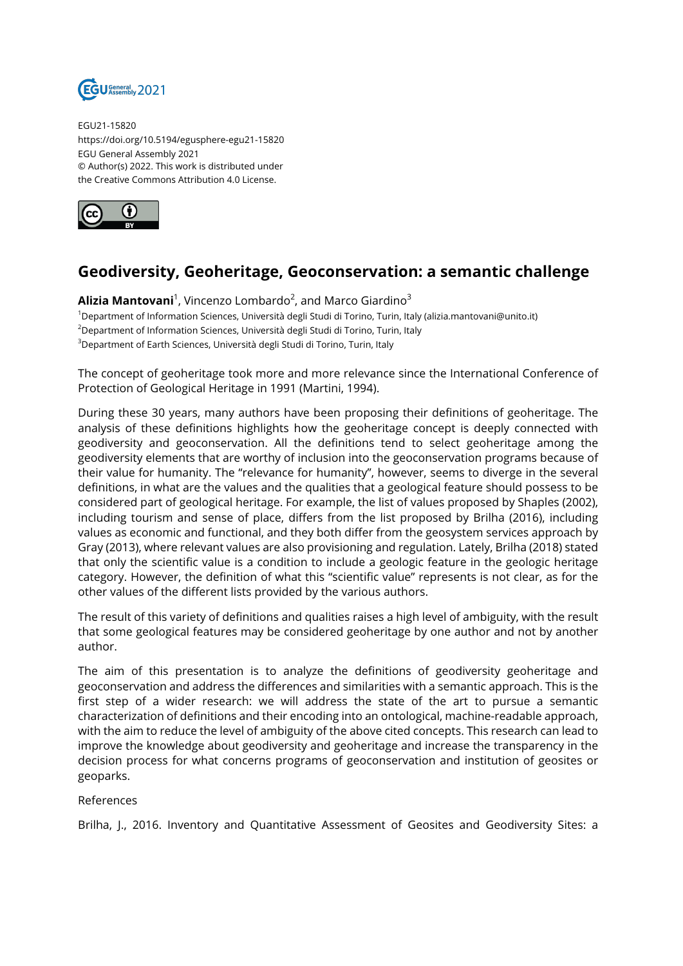

EGU21-15820 https://doi.org/10.5194/egusphere-egu21-15820 EGU General Assembly 2021 © Author(s) 2022. This work is distributed under the Creative Commons Attribution 4.0 License.



## **Geodiversity, Geoheritage, Geoconservation: a semantic challenge**

**Alizia Mantovani**<sup>1</sup>, Vincenzo Lombardo<sup>2</sup>, and Marco Giardino<sup>3</sup> <sup>1</sup>Department of Information Sciences, Università degli Studi di Torino, Turin, Italy (alizia.mantovani@unito.it) <sup>2</sup>Department of Information Sciences, Università degli Studi di Torino, Turin, Italy <sup>3</sup>Department of Earth Sciences, Università degli Studi di Torino, Turin, Italy

The concept of geoheritage took more and more relevance since the International Conference of Protection of Geological Heritage in 1991 (Martini, 1994).

During these 30 years, many authors have been proposing their definitions of geoheritage. The analysis of these definitions highlights how the geoheritage concept is deeply connected with geodiversity and geoconservation. All the definitions tend to select geoheritage among the geodiversity elements that are worthy of inclusion into the geoconservation programs because of their value for humanity. The "relevance for humanity", however, seems to diverge in the several definitions, in what are the values and the qualities that a geological feature should possess to be considered part of geological heritage. For example, the list of values proposed by Shaples (2002), including tourism and sense of place, differs from the list proposed by Brilha (2016), including values as economic and functional, and they both differ from the geosystem services approach by Gray (2013), where relevant values are also provisioning and regulation. Lately, Brilha (2018) stated that only the scientific value is a condition to include a geologic feature in the geologic heritage category. However, the definition of what this "scientific value" represents is not clear, as for the other values of the different lists provided by the various authors.

The result of this variety of definitions and qualities raises a high level of ambiguity, with the result that some geological features may be considered geoheritage by one author and not by another author.

The aim of this presentation is to analyze the definitions of geodiversity geoheritage and geoconservation and address the differences and similarities with a semantic approach. This is the first step of a wider research: we will address the state of the art to pursue a semantic characterization of definitions and their encoding into an ontological, machine-readable approach, with the aim to reduce the level of ambiguity of the above cited concepts. This research can lead to improve the knowledge about geodiversity and geoheritage and increase the transparency in the decision process for what concerns programs of geoconservation and institution of geosites or geoparks.

## References

Brilha, J., 2016. Inventory and Quantitative Assessment of Geosites and Geodiversity Sites: a